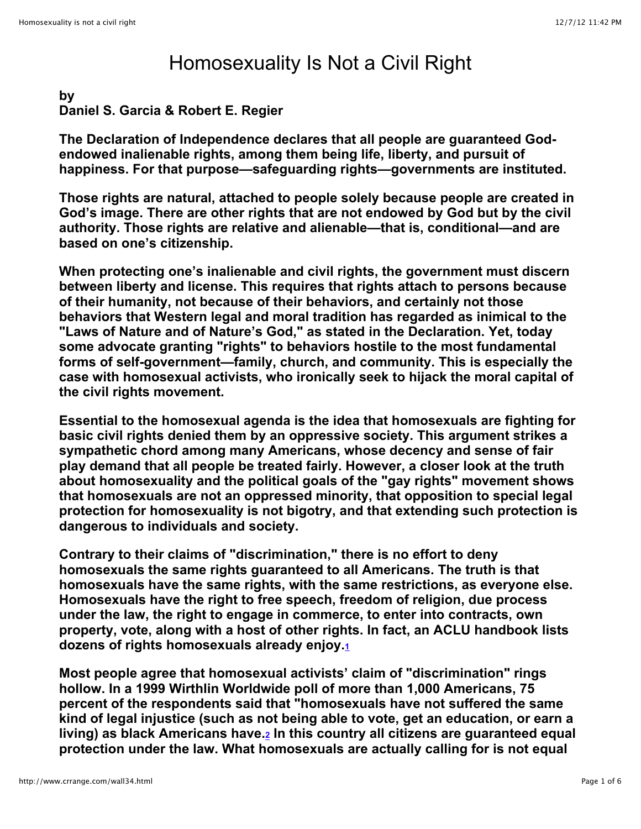# Homosexuality Is Not a Civil Right

# **by Daniel S. Garcia & Robert E. Regier**

**The Declaration of Independence declares that all people are guaranteed Godendowed inalienable rights, among them being life, liberty, and pursuit of happiness. For that purpose—safeguarding rights—governments are instituted.**

**Those rights are natural, attached to people solely because people are created in God's image. There are other rights that are not endowed by God but by the civil authority. Those rights are relative and alienable—that is, conditional—and are based on one's citizenship.**

**When protecting one's inalienable and civil rights, the government must discern between liberty and license. This requires that rights attach to persons because of their humanity, not because of their behaviors, and certainly not those behaviors that Western legal and moral tradition has regarded as inimical to the "Laws of Nature and of Nature's God," as stated in the Declaration. Yet, today some advocate granting "rights" to behaviors hostile to the most fundamental forms of self-government—family, church, and community. This is especially the case with homosexual activists, who ironically seek to hijack the moral capital of the civil rights movement.**

**Essential to the homosexual agenda is the idea that homosexuals are fighting for basic civil rights denied them by an oppressive society. This argument strikes a sympathetic chord among many Americans, whose decency and sense of fair play demand that all people be treated fairly. However, a closer look at the truth about homosexuality and the political goals of the "gay rights" movement shows that homosexuals are not an oppressed minority, that opposition to special legal protection for homosexuality is not bigotry, and that extending such protection is dangerous to individuals and society.**

**Contrary to their claims of "discrimination," there is no effort to deny homosexuals the same rights guaranteed to all Americans. The truth is that homosexuals have the same rights, with the same restrictions, as everyone else. Homosexuals have the right to free speech, freedom of religion, due process under the law, the right to engage in commerce, to enter into contracts, own property, vote, along with a host of other rights. In fact, an ACLU handbook lists dozens of rights homosexuals already enjoy[.1](http://www.crrange.com/wall34.html#1)**

**Most people agree that homosexual activists' claim of "discrimination" rings hollow. In a 1999 Wirthlin Worldwide poll of more than 1,000 Americans, 75 percent of the respondents said that "homosexuals have not suffered the same kind of legal injustice (such as not being able to vote, get an education, or earn a living) as black Americans have[.2](http://www.crrange.com/wall34.html#2) In this country all citizens are guaranteed equal protection under the law. What homosexuals are actually calling for is not equal**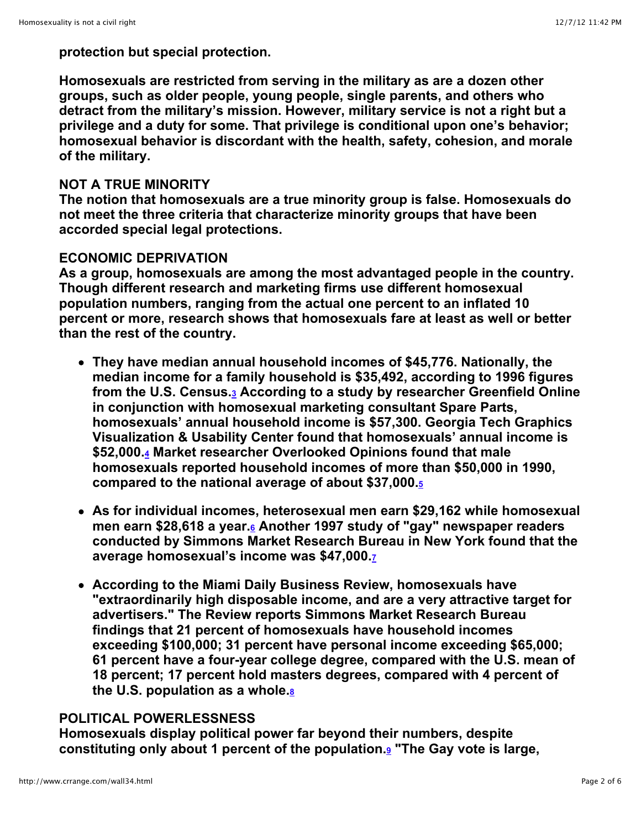**protection but special protection.**

**Homosexuals are restricted from serving in the military as are a dozen other groups, such as older people, young people, single parents, and others who detract from the military's mission. However, military service is not a right but a privilege and a duty for some. That privilege is conditional upon one's behavior; homosexual behavior is discordant with the health, safety, cohesion, and morale of the military.**

### **NOT A TRUE MINORITY**

**The notion that homosexuals are a true minority group is false. Homosexuals do not meet the three criteria that characterize minority groups that have been accorded special legal protections.**

## **ECONOMIC DEPRIVATION**

**As a group, homosexuals are among the most advantaged people in the country. Though different research and marketing firms use different homosexual population numbers, ranging from the actual one percent to an inflated 10 percent or more, research shows that homosexuals fare at least as well or better than the rest of the country.**

- **They have median annual household incomes of \$45,776. Nationally, the median income for a family household is \$35,492, according to 1996 figures from the U.S. Census[.3](http://www.crrange.com/wall34.html#3) According to a study by researcher Greenfield Online in conjunction with homosexual marketing consultant Spare Parts, homosexuals' annual household income is \$57,300. Georgia Tech Graphics Visualization & Usability Center found that homosexuals' annual income is \$52,000[.4](http://www.crrange.com/wall34.html#4) Market researcher Overlooked Opinions found that male homosexuals reported household incomes of more than \$50,000 in 1990, compared to the national average of about \$37,000.[5](http://www.crrange.com/wall34.html#5)**
- **As for individual incomes, heterosexual men earn \$29,162 while homosexual men earn \$28,618 a year[.6](http://www.crrange.com/wall34.html#6) Another 1997 study of "gay" newspaper readers conducted by Simmons Market Research Bureau in New York found that the average homosexual's income was \$47,000[.7](http://www.crrange.com/wall34.html#7)**
- **According to the Miami Daily Business Review, homosexuals have "extraordinarily high disposable income, and are a very attractive target for advertisers." The Review reports Simmons Market Research Bureau findings that 21 percent of homosexuals have household incomes exceeding \$100,000; 31 percent have personal income exceeding \$65,000; 61 percent have a four-year college degree, compared with the U.S. mean of 18 percent; 17 percent hold masters degrees, compared with 4 percent of the U.S. population as a whole[.8](http://www.crrange.com/wall34.html#8)**

## **POLITICAL POWERLESSNESS**

**Homosexuals display political power far beyond their numbers, despite constituting only about 1 percent of the population[.9](http://www.crrange.com/wall34.html#9) "The Gay vote is large,**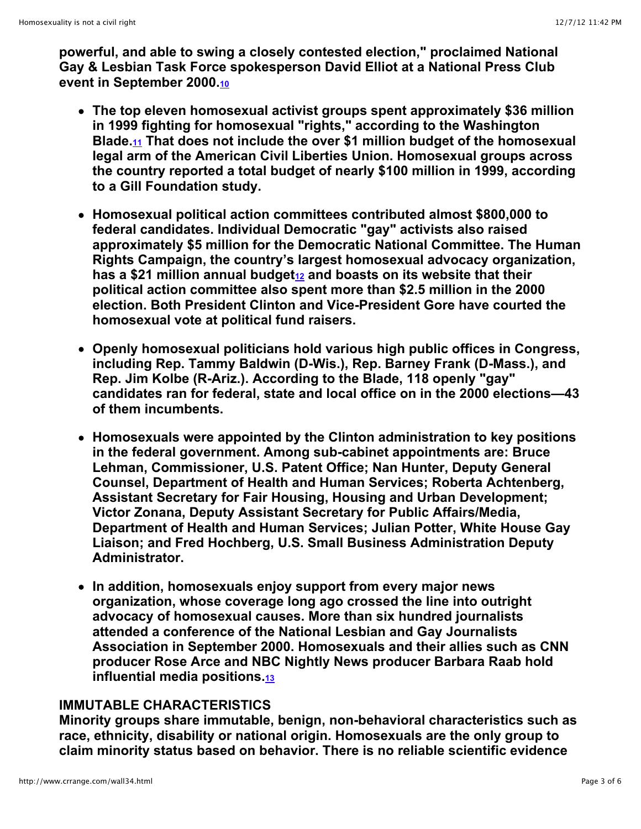**powerful, and able to swing a closely contested election," proclaimed National Gay & Lesbian Task Force spokesperson David Elliot at a National Press Club event in September 2000[.10](http://www.crrange.com/wall34.html#10)**

- **The top eleven homosexual activist groups spent approximately \$36 million in 1999 fighting for homosexual "rights," according to the Washington Blade.[11](http://www.crrange.com/wall34.html#11) That does not include the over \$1 million budget of the homosexual legal arm of the American Civil Liberties Union. Homosexual groups across the country reported a total budget of nearly \$100 million in 1999, according to a Gill Foundation study.**
- **Homosexual political action committees contributed almost \$800,000 to federal candidates. Individual Democratic "gay" activists also raised approximately \$5 million for the Democratic National Committee. The Human Rights Campaign, the country's largest homosexual advocacy organization,** has a \$21 million annual budget<sup>12</sup> and boasts on its website that their **political action committee also spent more than \$2.5 million in the 2000 election. Both President Clinton and Vice-President Gore have courted the homosexual vote at political fund raisers.**
- **Openly homosexual politicians hold various high public offices in Congress, including Rep. Tammy Baldwin (D-Wis.), Rep. Barney Frank (D-Mass.), and Rep. Jim Kolbe (R-Ariz.). According to the Blade, 118 openly "gay" candidates ran for federal, state and local office on in the 2000 elections—43 of them incumbents.**
- **Homosexuals were appointed by the Clinton administration to key positions in the federal government. Among sub-cabinet appointments are: Bruce Lehman, Commissioner, U.S. Patent Office; Nan Hunter, Deputy General Counsel, Department of Health and Human Services; Roberta Achtenberg, Assistant Secretary for Fair Housing, Housing and Urban Development; Victor Zonana, Deputy Assistant Secretary for Public Affairs/Media, Department of Health and Human Services; Julian Potter, White House Gay Liaison; and Fred Hochberg, U.S. Small Business Administration Deputy Administrator.**
- **In addition, homosexuals enjoy support from every major news organization, whose coverage long ago crossed the line into outright advocacy of homosexual causes. More than six hundred journalists attended a conference of the National Lesbian and Gay Journalists Association in September 2000. Homosexuals and their allies such as CNN producer Rose Arce and NBC Nightly News producer Barbara Raab hold influential media positions[.13](http://www.crrange.com/wall34.html#13)**

#### **IMMUTABLE CHARACTERISTICS**

**Minority groups share immutable, benign, non-behavioral characteristics such as race, ethnicity, disability or national origin. Homosexuals are the only group to claim minority status based on behavior. There is no reliable scientific evidence**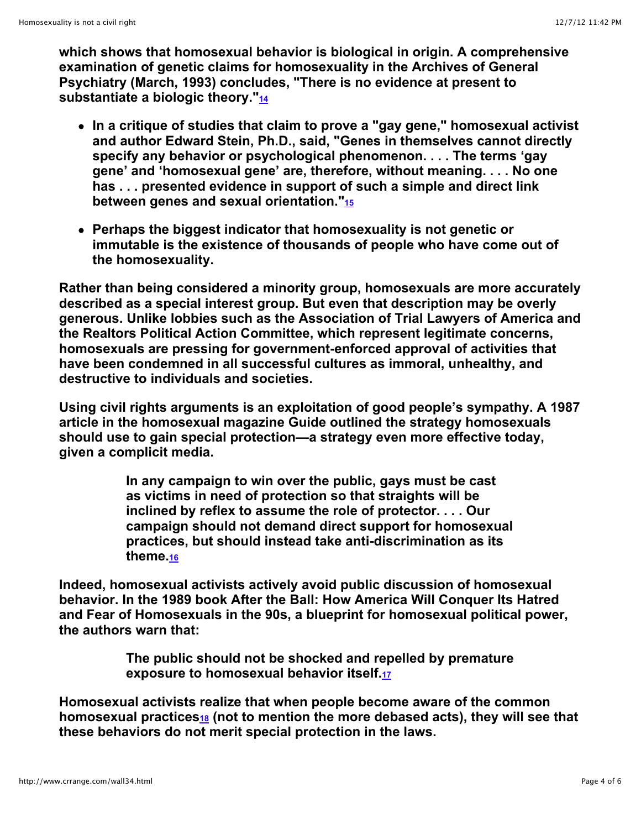**which shows that homosexual behavior is biological in origin. A comprehensive examination of genetic claims for homosexuality in the Archives of General Psychiatry (March, 1993) concludes, "There is no evidence at present to substantiate a biologic theory.["14](http://www.crrange.com/wall34.html#14)**

- **In a critique of studies that claim to prove a "gay gene," homosexual activist and author Edward Stein, Ph.D., said, "Genes in themselves cannot directly specify any behavior or psychological phenomenon. . . . The terms 'gay gene' and 'homosexual gene' are, therefore, without meaning. . . . No one has . . . presented evidence in support of such a simple and direct link between genes and sexual orientation.["15](http://www.crrange.com/wall34.html#15)**
- **Perhaps the biggest indicator that homosexuality is not genetic or immutable is the existence of thousands of people who have come out of the homosexuality.**

**Rather than being considered a minority group, homosexuals are more accurately described as a special interest group. But even that description may be overly generous. Unlike lobbies such as the Association of Trial Lawyers of America and the Realtors Political Action Committee, which represent legitimate concerns, homosexuals are pressing for government-enforced approval of activities that have been condemned in all successful cultures as immoral, unhealthy, and destructive to individuals and societies.**

**Using civil rights arguments is an exploitation of good people's sympathy. A 1987 article in the homosexual magazine Guide outlined the strategy homosexuals should use to gain special protection—a strategy even more effective today, given a complicit media.**

> **In any campaign to win over the public, gays must be cast as victims in need of protection so that straights will be inclined by reflex to assume the role of protector. . . . Our campaign should not demand direct support for homosexual practices, but should instead take anti-discrimination as its theme[.16](http://www.crrange.com/wall34.html#16)**

**Indeed, homosexual activists actively avoid public discussion of homosexual behavior. In the 1989 book After the Ball: How America Will Conquer Its Hatred and Fear of Homosexuals in the 90s, a blueprint for homosexual political power, the authors warn that:**

> **The public should not be shocked and repelled by premature exposure to homosexual behavior itself[.17](http://www.crrange.com/wall34.html#17)**

**Homosexual activists realize that when people become aware of the common homosexual practices[18](http://www.crrange.com/wall34.html#18) (not to mention the more debased acts), they will see that these behaviors do not merit special protection in the laws.**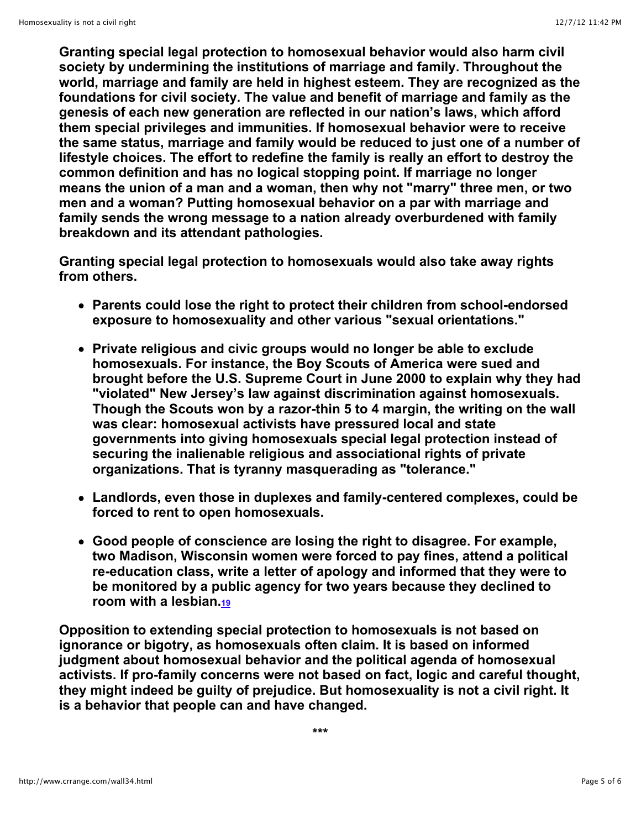**Granting special legal protection to homosexual behavior would also harm civil society by undermining the institutions of marriage and family. Throughout the world, marriage and family are held in highest esteem. They are recognized as the foundations for civil society. The value and benefit of marriage and family as the genesis of each new generation are reflected in our nation's laws, which afford them special privileges and immunities. If homosexual behavior were to receive the same status, marriage and family would be reduced to just one of a number of lifestyle choices. The effort to redefine the family is really an effort to destroy the common definition and has no logical stopping point. If marriage no longer means the union of a man and a woman, then why not "marry" three men, or two men and a woman? Putting homosexual behavior on a par with marriage and family sends the wrong message to a nation already overburdened with family breakdown and its attendant pathologies.**

**Granting special legal protection to homosexuals would also take away rights from others.**

- **Parents could lose the right to protect their children from school-endorsed exposure to homosexuality and other various "sexual orientations."**
- **Private religious and civic groups would no longer be able to exclude homosexuals. For instance, the Boy Scouts of America were sued and brought before the U.S. Supreme Court in June 2000 to explain why they had "violated" New Jersey's law against discrimination against homosexuals. Though the Scouts won by a razor-thin 5 to 4 margin, the writing on the wall was clear: homosexual activists have pressured local and state governments into giving homosexuals special legal protection instead of securing the inalienable religious and associational rights of private organizations. That is tyranny masquerading as "tolerance."**
- **Landlords, even those in duplexes and family-centered complexes, could be forced to rent to open homosexuals.**
- **Good people of conscience are losing the right to disagree. For example, two Madison, Wisconsin women were forced to pay fines, attend a political re-education class, write a letter of apology and informed that they were to be monitored by a public agency for two years because they declined to room with a lesbian[.19](http://www.crrange.com/wall34.html#19)**

**Opposition to extending special protection to homosexuals is not based on ignorance or bigotry, as homosexuals often claim. It is based on informed judgment about homosexual behavior and the political agenda of homosexual activists. If pro-family concerns were not based on fact, logic and careful thought, they might indeed be guilty of prejudice. But homosexuality is not a civil right. It is a behavior that people can and have changed.**